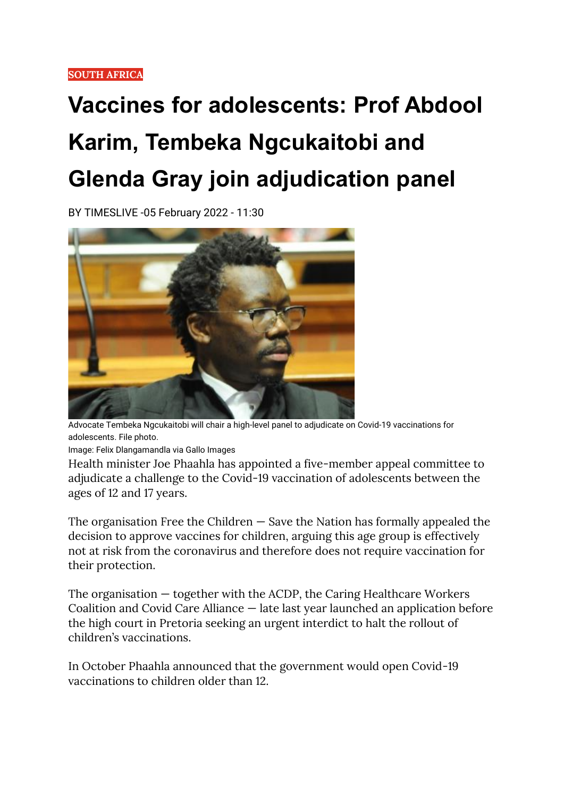## **Vaccines for adolescents: Prof Abdool Karim, Tembeka Ngcukaitobi and Glenda Gray join adjudication panel**

BY TIMESLIVE -05 February 2022 - 11:30



Advocate Tembeka Ngcukaitobi will chair a high-level panel to adjudicate on Covid-19 vaccinations for adolescents. File photo.

Image: Felix Dlangamandla via Gallo Images

Health minister Joe Phaahla has appointed a five-member appeal committee to adjudicate a challenge to the Covid-19 vaccination of adolescents between the ages of 12 and 17 years.

The organisation Free the Children  $-$  Save the Nation has formally appealed the decision to approve vaccines for children, arguing this age group is effectively not at risk from the coronavirus and therefore does not require vaccination for their protection.

The organisation — together with the ACDP, the Caring Healthcare Workers Coalition and Covid Care Alliance — late last year launched an application before the high court in Pretoria seeking an urgent interdict to halt the rollout of children's vaccinations.

In October Phaahla announced that the government would open Covid-19 vaccinations to children older than 12.